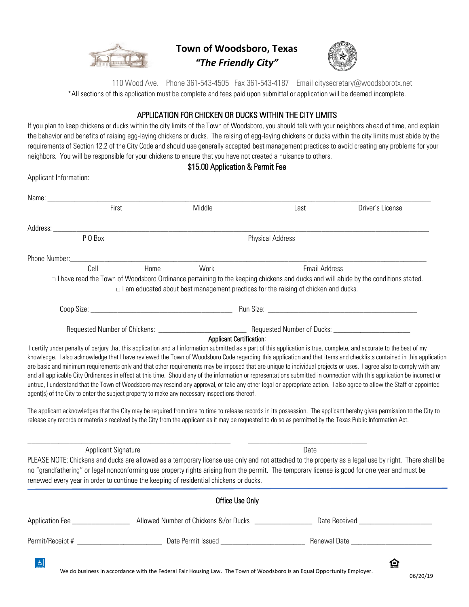

**Town of Woodsboro, Texas** *"The Friendly City"*



 110 Wood Ave. Phone 361-543-4505 Fax 361-543-4187 Email citysecretary@woodsborotx.net \*All sections of this application must be complete and fees paid upon submittal or application will be deemed incomplete.

## APPLICATION FOR CHICKEN OR DUCKS WITHIN THE CITY LIMITS

If you plan to keep chickens or ducks within the city limits of the Town of Woodsboro, you should talk with your neighbors ahead of time, and explain the behavior and benefits of raising egg-laying chickens or ducks. The raising of egg-laying chickens or ducks within the city limits must abide by the requirements of Section 12.2 of the City Code and should use generally accepted best management practices to avoid creating any problems for your neighbors. You will be responsible for your chickens to ensure that you have not created a nuisance to others.

\$15.00 Application & Permit Fee

Applicant Information: Name: First Contract Middle Middle Contract Middle Last Driver's License Address: \_\_\_\_\_\_\_\_\_\_\_\_\_\_\_\_\_\_\_\_\_\_\_\_\_\_\_\_\_\_\_\_\_\_\_\_\_\_\_\_\_\_\_\_\_\_\_\_\_\_\_\_\_\_\_\_\_\_\_\_\_\_\_\_\_\_\_\_\_\_\_\_\_\_\_\_\_\_\_\_\_\_\_\_\_\_\_\_\_\_\_\_\_\_\_\_\_\_ P O Box Physical Address Phone Number: Cell Home Work Email Address □ I have read the Town of Woodsboro Ordinance pertaining to the keeping chickens and ducks and will abide by the conditions stated.  $\Box$  I am educated about best management practices for the raising of chicken and ducks. Coop Size: \_\_\_\_\_\_\_\_\_\_\_\_\_\_\_\_\_\_\_\_\_\_\_\_\_\_\_\_\_\_\_\_\_\_\_\_\_ Run Size: \_\_\_\_\_\_\_\_\_\_\_\_\_\_\_\_\_\_\_\_\_\_\_\_\_\_\_\_\_\_\_\_\_\_\_\_\_\_\_ Requested Number of Chickens: \_\_\_\_\_\_\_\_\_\_\_\_\_\_\_\_\_\_\_\_\_\_\_ Requested Number of Ducks: \_\_\_\_\_\_\_\_\_\_\_\_\_\_\_\_\_\_\_\_ Applicant Certification: I certify under penalty of perjury that this application and all information submitted as a part of this application is true, complete, and accurate to the best of my knowledge. I also acknowledge that I have reviewed the Town of Woodsboro Code regarding this application and that items and checklists contained in this application are basic and minimum requirements only and that other requirements may be imposed that are unique to individual projects or uses. I agree also to comply with any and all applicable City Ordinances in effect at this time. Should any of the information or representations submitted in connection with this application be incorrect or untrue, I understand that the Town of Woodsboro may rescind any approval, or take any other legal or appropriate action. I also agree to allow the Staff or appointed agent(s) of the City to enter the subject property to make any necessary inspections thereof. The applicant acknowledges that the City may be required from time to time to release records in its possession. The applicant hereby gives permission to the City to release any records or materials received by the City from the applicant as it may be requested to do so as permitted by the Texas Public Information Act. \_\_\_\_\_\_\_\_\_\_\_\_\_\_\_\_\_\_\_\_\_\_\_\_\_\_\_\_\_\_\_\_\_\_\_\_\_\_\_\_\_\_\_\_\_\_\_\_\_\_\_\_\_ \_\_\_\_\_\_\_\_\_\_\_\_\_\_\_\_\_\_\_\_\_\_\_\_\_\_\_\_\_\_\_ Applicant Signature Date PLEASE NOTE: Chickens and ducks are allowed as a temporary license use only and not attached to the property as a legal use by right. There shall be no "grandfathering" or legal nonconforming use property rights arising from the permit. The temporary license is good for one year and must be renewed every year in order to continue the keeping of residential chickens or ducks. Office Use Only Application Fee \_\_\_\_\_\_\_\_\_\_\_\_\_\_\_\_\_\_\_\_ Allowed Number of Chickens &/or Ducks \_\_\_\_\_\_\_\_\_\_\_\_\_\_\_\_\_\_\_\_\_\_\_\_\_\_\_\_\_\_\_\_\_\_\_ Permit/Receipt # \_\_\_\_\_\_\_\_\_\_\_\_\_\_\_\_\_\_\_\_\_\_ Date Permit Issued \_\_\_\_\_\_\_\_\_\_\_\_\_\_\_\_\_\_\_\_\_\_ Renewal Date \_\_\_\_\_\_\_\_\_\_\_\_\_\_\_\_\_\_\_\_\_ 合  $|\mathcal{P}|$